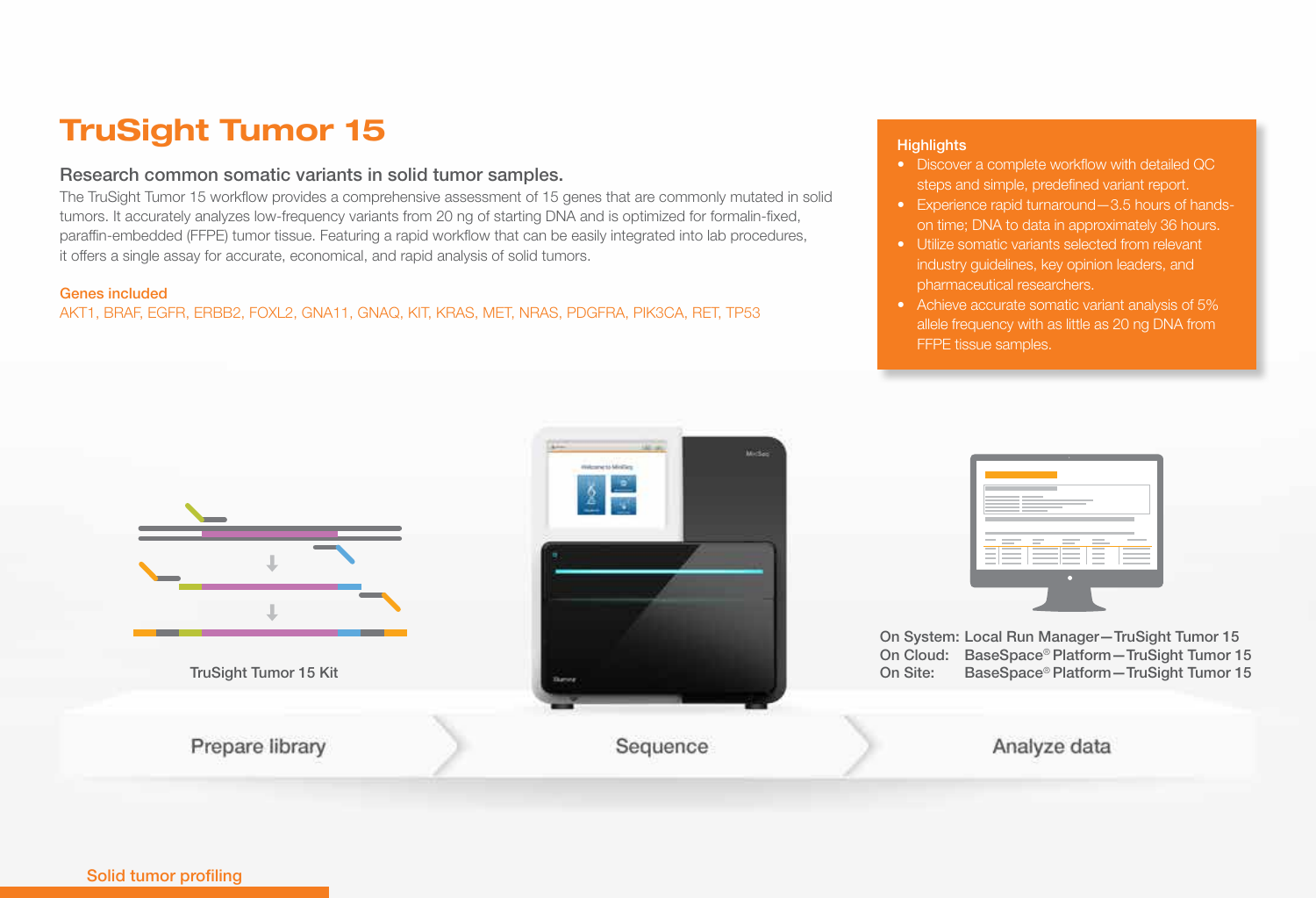# TruSight Tumor 15

## Research common somatic variants in solid tumor samples.

The TruSight Tumor 15 workflow provides a comprehensive assessment of 15 genes that are commonly mutated in solid tumors. It accurately analyzes low-frequency variants from 20 ng of starting DNA and is optimized for formalin-fixed, paraffin-embedded (FFPE) tumor tissue. Featuring a rapid workflow that can be easily integrated into lab procedures, it offers a single assay for accurate, economical, and rapid analysis of solid tumors.

### Genes included

AKT1, BRAF, EGFR, ERBB2, FOXL2, GNA11, GNAQ, KIT, KRAS, MET, NRAS, PDGFRA, PIK3CA, RET, TP53

- Discover a complete workflow with detailed QC steps and simple, predefined variant report.
- Experience rapid turnaround—3.5 hours of handson time; DNA to data in approximately 36 hours.
- Utilize somatic variants selected from relevant industry guidelines, key opinion leaders, and pharmaceutical researchers.
- Achieve accurate somatic variant analysis of 5% allele frequency with as little as 20 ng DNA from FFPE tissue samples.

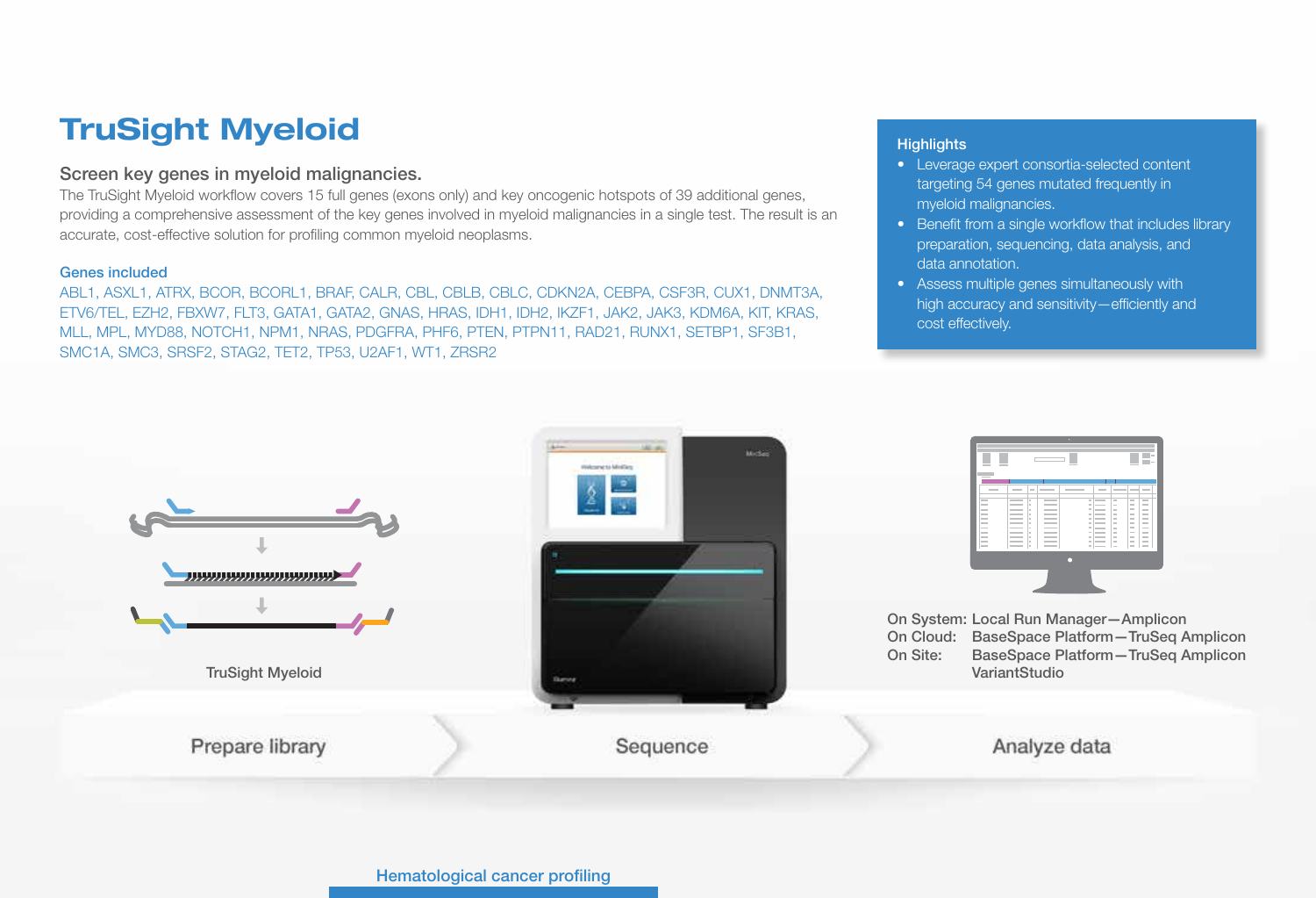# TruSight Myeloid

## Screen key genes in myeloid malignancies.

The TruSight Myeloid workflow covers 15 full genes (exons only) and key oncogenic hotspots of 39 additional genes, providing a comprehensive assessment of the key genes involved in myeloid malignancies in a single test. The result is an accurate, cost-effective solution for profiling common myeloid neoplasms.

### Genes included

ABL1, ASXL1, ATRX, BCOR, BCORL1, BRAF, CALR, CBL, CBLB, CBLC, CDKN2A, CEBPA, CSF3R, CUX1, DNMT3A, ETV6/TEL, EZH2, FBXW7, FLT3, GATA1, GATA2, GNAS, HRAS, IDH1, IDH2, IKZF1, JAK2, JAK3, KDM6A, KIT, KRAS, MLL, MPL, MYD88, NOTCH1, NPM1, NRAS, PDGFRA, PHF6, PTEN, PTPN11, RAD21, RUNX1, SETBP1, SF3B1, SMC1A, SMC3, SRSF2, STAG2, TET2, TP53, U2AF1, WT1, ZRSR2

- Leverage expert consortia-selected content targeting 54 genes mutated frequently in myeloid malignancies.
- Benefit from a single workflow that includes library preparation, sequencing, data analysis, and data annotation.
- Assess multiple genes simultaneously with high accuracy and sensitivity—efficiently and cost effectively.

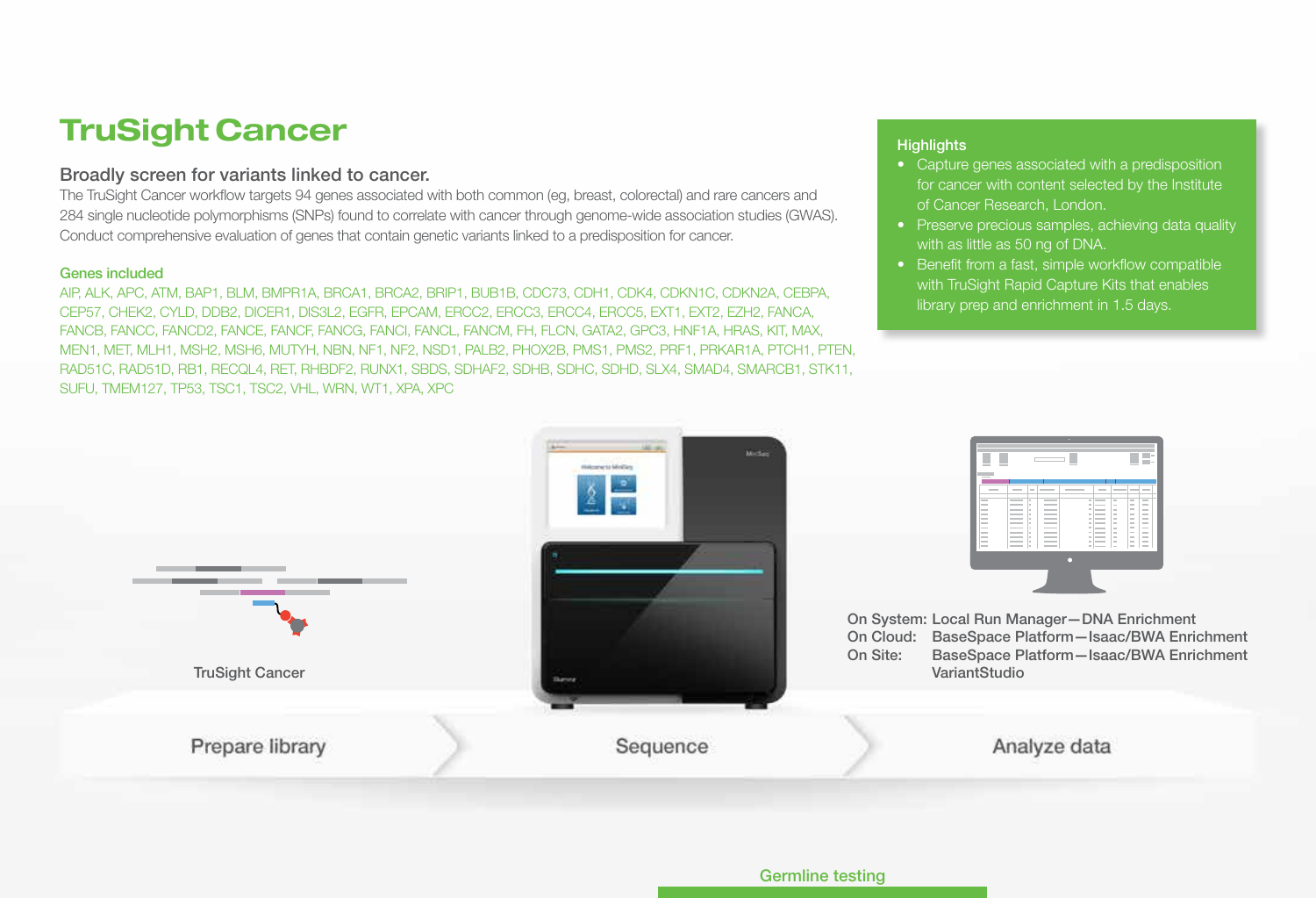## TruSight Cancer

## Broadly screen for variants linked to cancer.

The TruSight Cancer workflow targets 94 genes associated with both common (eg, breast, colorectal) and rare cancers and 284 single nucleotide polymorphisms (SNPs) found to correlate with cancer through genome-wide association studies (GWAS). Conduct comprehensive evaluation of genes that contain genetic variants linked to a predisposition for cancer.

### Genes included

AIP, ALK, APC, ATM, BAP1, BLM, BMPR1A, BRCA1, BRCA2, BRIP1, BUB1B, CDC73, CDH1, CDK4, CDKN1C, CDKN2A, CEBPA, CEP57, CHEK2, CYLD, DDB2, DICER1, DIS3L2, EGFR, EPCAM, ERCC2, ERCC3, ERCC4, ERCC5, EXT1, EXT2, EZH2, FANCA, FANCB, FANCC, FANCD2, FANCE, FANCF, FANCG, FANCI, FANCL, FANCM, FH, FLCN, GATA2, GPC3, HNF1A, HRAS, KIT, MAX, MEN1, MET, MLH1, MSH2, MSH6, MUTYH, NBN, NF1, NF2, NSD1, PALB2, PHOX2B, PMS1, PMS2, PRF1, PRKAR1A, PTCH1, PTEN, RAD51C, RAD51D, RB1, RECQL4, RET, RHBDF2, RUNX1, SBDS, SDHAF2, SDHB, SDHC, SDHD, SLX4, SMAD4, SMARCB1, STK11, SUFU, TMEM127, TP53, TSC1, TSC2, VHL, WRN, WT1, XPA, XPC

- Capture genes associated with a predisposition for cancer with content selected by the Institute of Cancer Research, London.
- Preserve precious samples, achieving data quality with as little as 50 ng of DNA.
- Benefit from a fast, simple workflow compatible with TruSight Rapid Capture Kits that enables library prep and enrichment in 1.5 days.